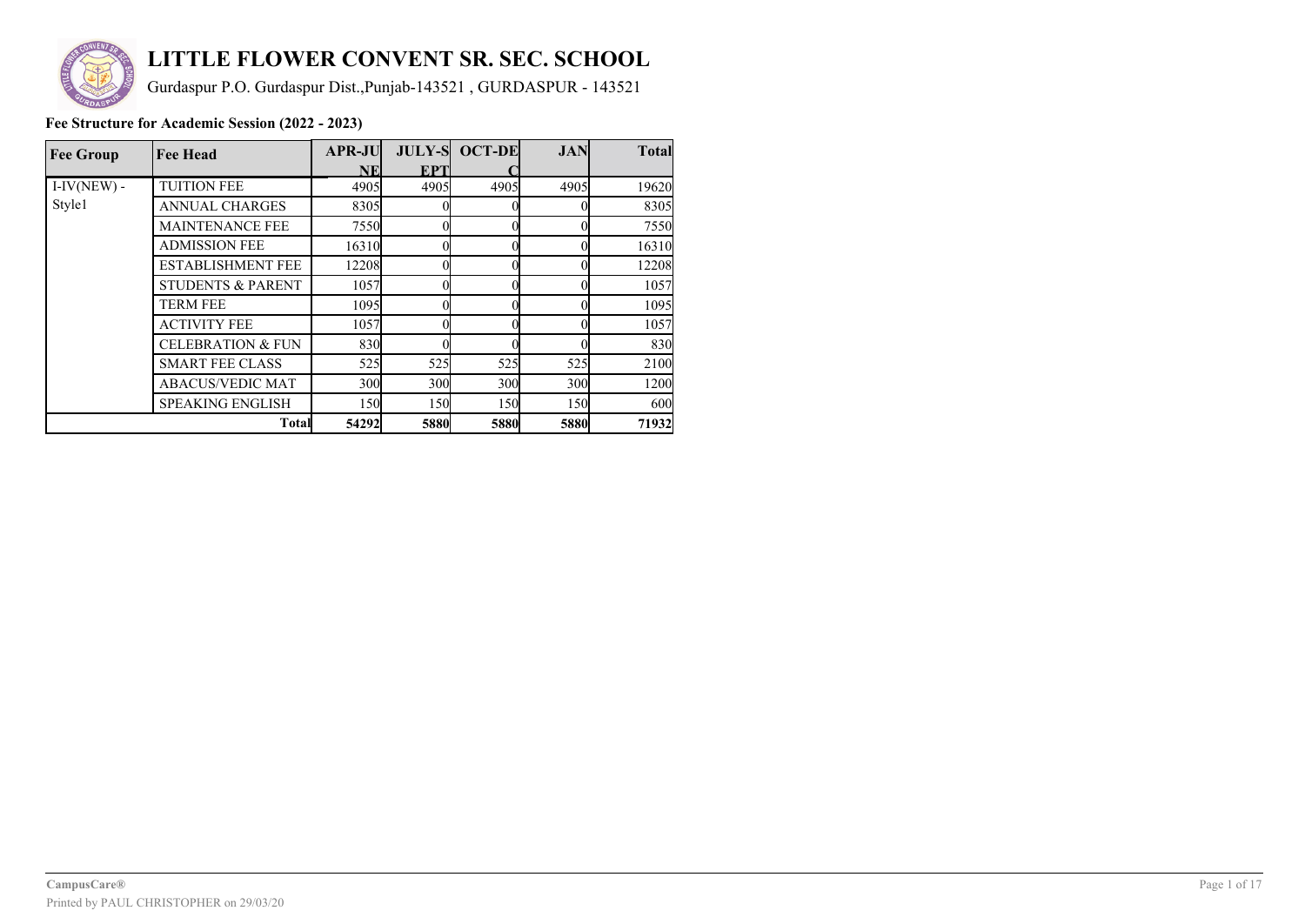

# **LITTLE FLOWER CONVENT SR. SEC. SCHOOL**

Gurdaspur P.O. Gurdaspur Dist.,Punjab-143521 , GURDASPUR - 143521

| <b>Fee Group</b> | <b>Fee Head</b>              | <b>APR-JU</b>   | <b>JULY-S</b> | <b>OCT-DE</b>   | <b>JAN</b>      | <b>Total</b> |
|------------------|------------------------------|-----------------|---------------|-----------------|-----------------|--------------|
|                  |                              | <b>NE</b>       | <b>EPT</b>    |                 |                 |              |
| $I-IV(NEW)$ -    | <b>TUITION FEE</b>           | 4905            | 4905          | 4905            | 4905            | 19620        |
| Style1           | <b>ANNUAL CHARGES</b>        | 8305            |               |                 |                 | 8305         |
|                  | <b>MAINTENANCE FEE</b>       | 7550            |               |                 |                 | 7550         |
|                  | <b>ADMISSION FEE</b>         | 16310           |               |                 |                 | 16310        |
|                  | <b>ESTABLISHMENT FEE</b>     | 12208           |               |                 |                 | 12208        |
|                  | <b>STUDENTS &amp; PARENT</b> | 1057            |               |                 |                 | 1057         |
|                  | <b>TERM FEE</b>              | 1095            |               |                 |                 | 1095         |
|                  | <b>ACTIVITY FEE</b>          | 1057            |               |                 |                 | 1057         |
|                  | <b>CELEBRATION &amp; FUN</b> | 830             |               |                 |                 | 830          |
|                  | <b>SMART FEE CLASS</b>       | 525             | 525           | 525             | 525             | 2100         |
|                  | <b>ABACUS/VEDIC MAT</b>      | 30 <sub>0</sub> | 300           | 30 <sub>0</sub> | 30 <sub>0</sub> | 1200         |
|                  | <b>SPEAKING ENGLISH</b>      | 150             | 150           | <b>150</b>      | 150             | 600          |
|                  | <b>Total</b>                 | 54292           | 5880          | 5880            | 5880            | 71932        |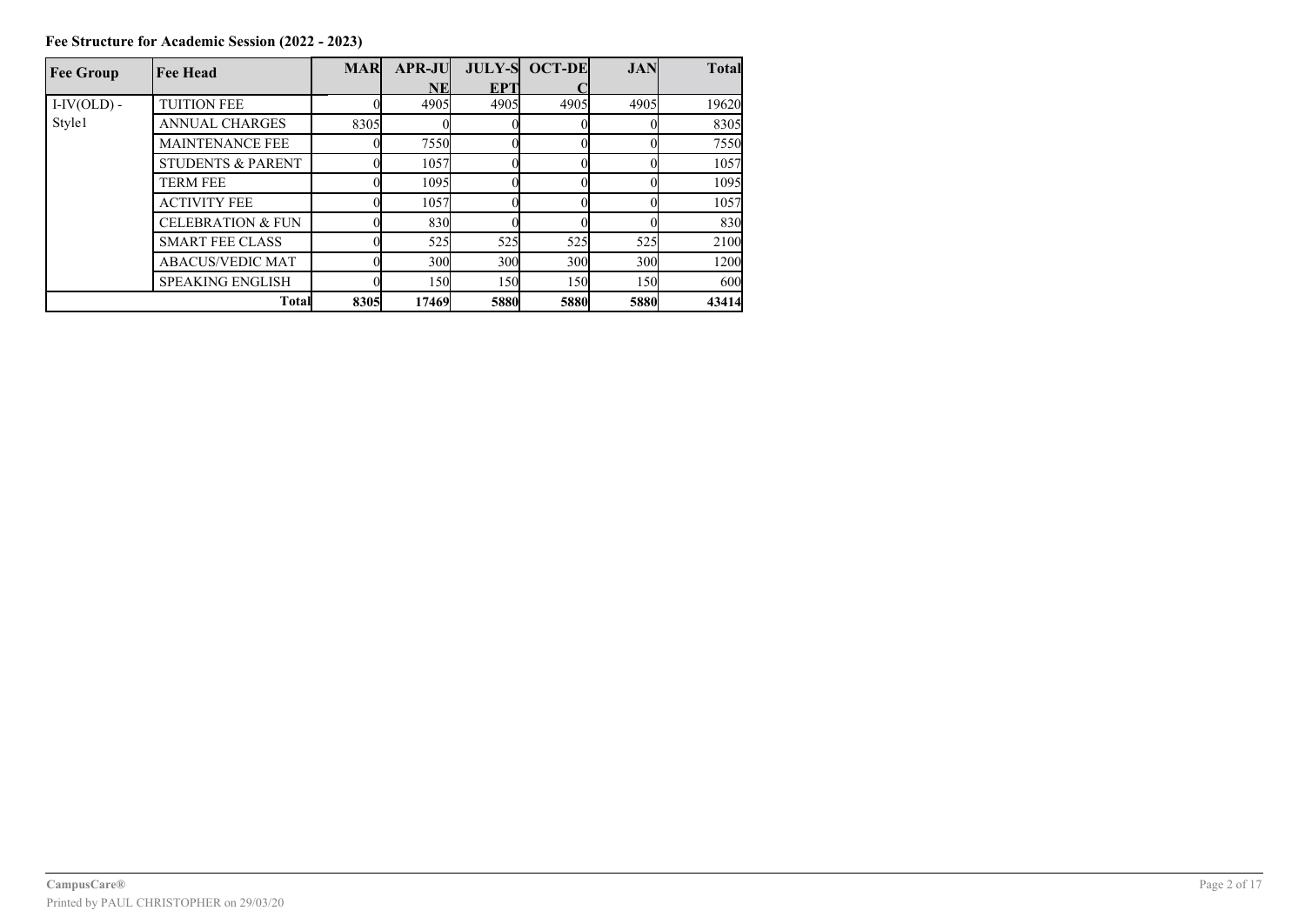| <b>Fee Group</b> | <b>Fee Head</b>              | <b>MAR</b> | <b>APR-JU</b> |                 | <b>JULY-S OCT-DE</b> | <b>JAN</b> | <b>Total</b> |
|------------------|------------------------------|------------|---------------|-----------------|----------------------|------------|--------------|
|                  |                              |            | NEI           | EPT             |                      |            |              |
| $I-IV(OLD)$ -    | <b>TUITION FEE</b>           |            | 4905          | 4905            | 4905                 | 4905       | 19620        |
| Style1           | <b>ANNUAL CHARGES</b>        | 8305       |               |                 |                      |            | 8305         |
|                  | <b>MAINTENANCE FEE</b>       |            | 7550          |                 |                      |            | 7550         |
|                  | <b>STUDENTS &amp; PARENT</b> |            | 1057          |                 |                      |            | 1057         |
|                  | <b>TERM FEE</b>              |            | 1095          |                 |                      |            | 1095         |
|                  | <b>ACTIVITY FEE</b>          |            | 1057          |                 |                      |            | 1057         |
|                  | <b>CELEBRATION &amp; FUN</b> |            | 830           |                 |                      |            | 830          |
|                  | <b>SMART FEE CLASS</b>       |            | 525           | 525             | 525                  | 525        | 2100         |
|                  | <b>ABACUS/VEDIC MAT</b>      |            | 300           | 30 <sub>0</sub> | 300                  | 300        | 1200         |
|                  | <b>SPEAKING ENGLISH</b>      |            | 150           | 150l            | 150                  | 150        | 600          |
|                  | <b>Total</b>                 | 8305       | 17469         | <b>5880</b>     | <b>5880</b>          | 5880       | 43414        |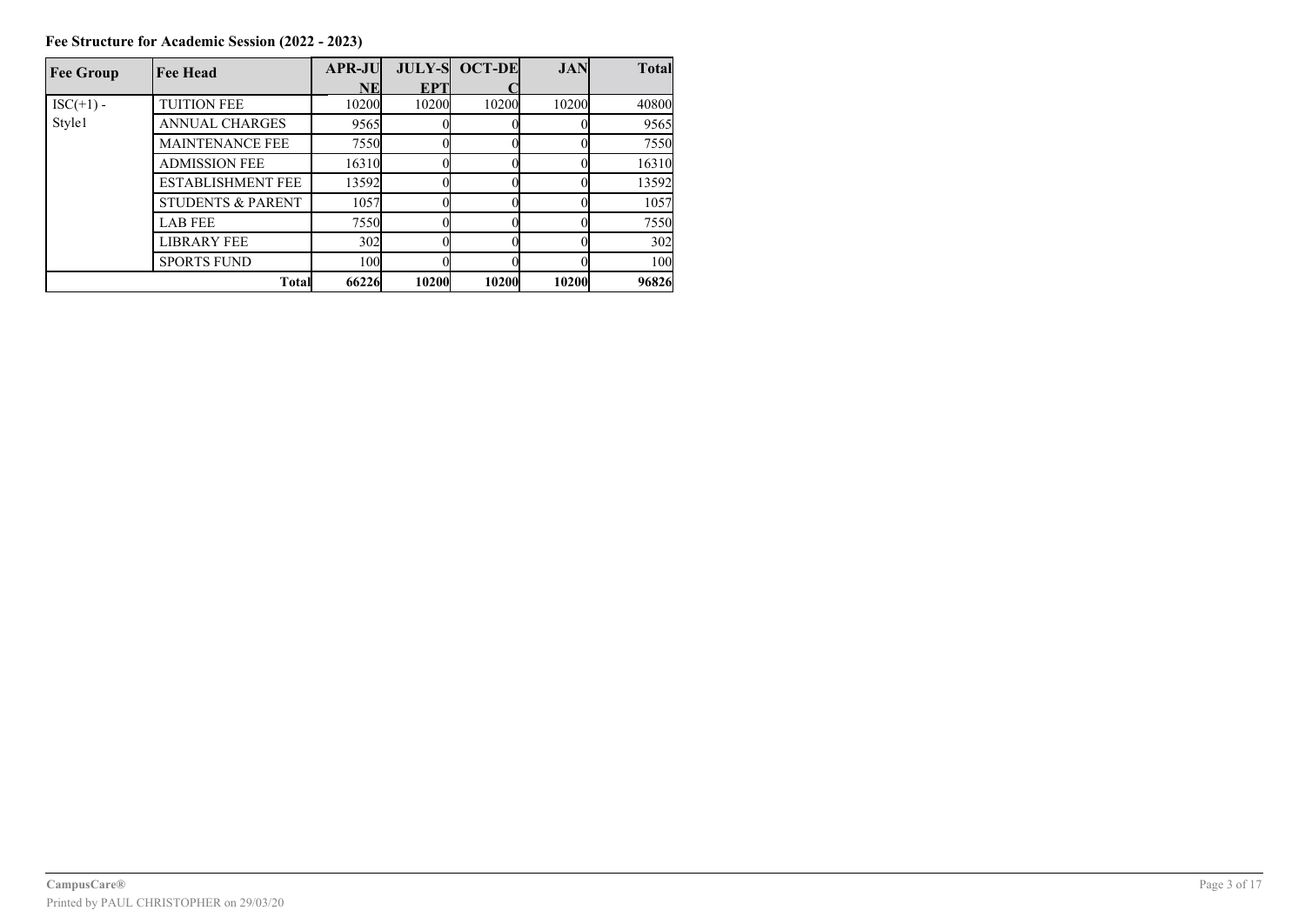**Fee Structure for Academic Session (2022 - 2023)**

| <b>Fee Group</b> | <b>Fee Head</b>              | <b>APR-JU</b> | <b>JULY-S</b> | <b>OCT-DE</b> | <b>JAN</b> | <b>Total</b> |
|------------------|------------------------------|---------------|---------------|---------------|------------|--------------|
|                  |                              | <b>NE</b>     | <b>EPT</b>    |               |            |              |
| $ISC(+1) -$      | <b>TUITION FEE</b>           | 10200         | 10200         | 10200         | 10200      | 40800        |
| Style1           | <b>ANNUAL CHARGES</b>        | 9565          |               |               |            | 9565         |
|                  | <b>MAINTENANCE FEE</b>       | 7550          |               |               |            | 7550         |
|                  | <b>ADMISSION FEE</b>         | 16310         |               |               |            | 16310        |
|                  | <b>ESTABLISHMENT FEE</b>     | 13592         |               |               |            | 13592        |
|                  | <b>STUDENTS &amp; PARENT</b> | 1057          |               |               |            | 1057         |
|                  | <b>LAB FEE</b>               | 7550          |               |               |            | 7550         |
|                  | <b>LIBRARY FEE</b>           | 302           |               |               |            | 302          |
|                  | <b>SPORTS FUND</b>           | 100           |               |               |            | 100          |
|                  | <b>Total</b>                 | 66226         | <b>10200</b>  | 10200         | 10200      | 96826        |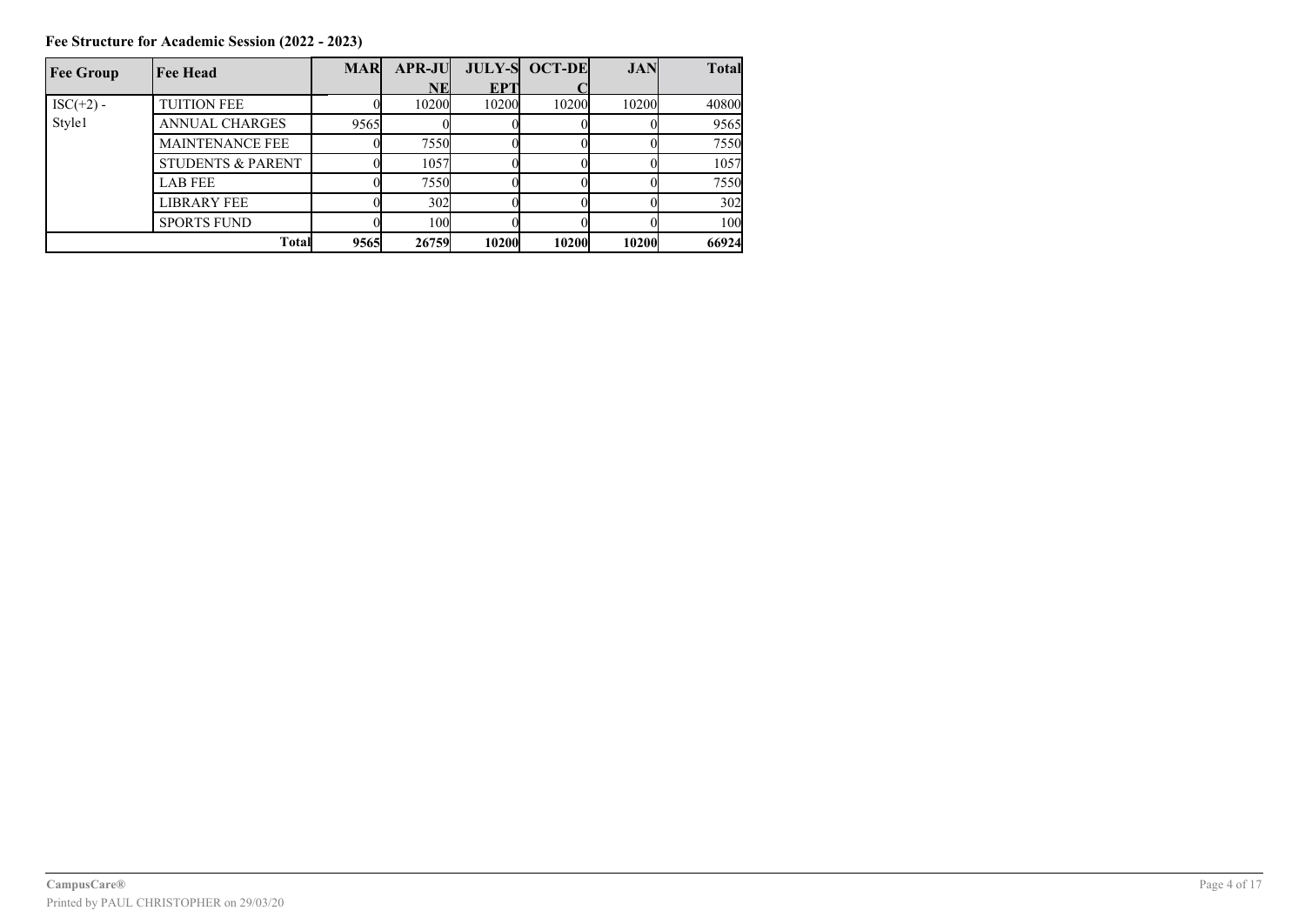**Fee Structure for Academic Session (2022 - 2023)**

| <b>Fee Group</b> | <b>Fee Head</b>              | <b>MAR</b> | <b>APR-JU</b>   |       | <b>JULY-S OCT-DE</b> | <b>JAN</b>   | <b>Total</b> |
|------------------|------------------------------|------------|-----------------|-------|----------------------|--------------|--------------|
|                  |                              |            | NE              | EPT   |                      |              |              |
| $ISC(+2) -$      | <b>TUITION FEE</b>           |            | 10200           | 10200 | 10200                | 10200        | 40800        |
| Style1           | <b>ANNUAL CHARGES</b>        | 9565       |                 |       |                      |              | 9565         |
|                  | <b>MAINTENANCE FEE</b>       |            | 7550            |       |                      |              | 7550         |
|                  | <b>STUDENTS &amp; PARENT</b> |            | 1057            |       |                      |              | 1057         |
|                  | <b>LAB FEE</b>               |            | 7550            |       |                      |              | 7550         |
|                  | <b>LIBRARY FEE</b>           |            | 302             |       |                      |              | 302          |
|                  | <b>SPORTS FUND</b>           |            | 10 <sub>0</sub> |       |                      |              | 100          |
| <b>Total</b>     |                              | 9565       | 26759           | 10200 | <b>10200</b>         | <b>10200</b> | 66924        |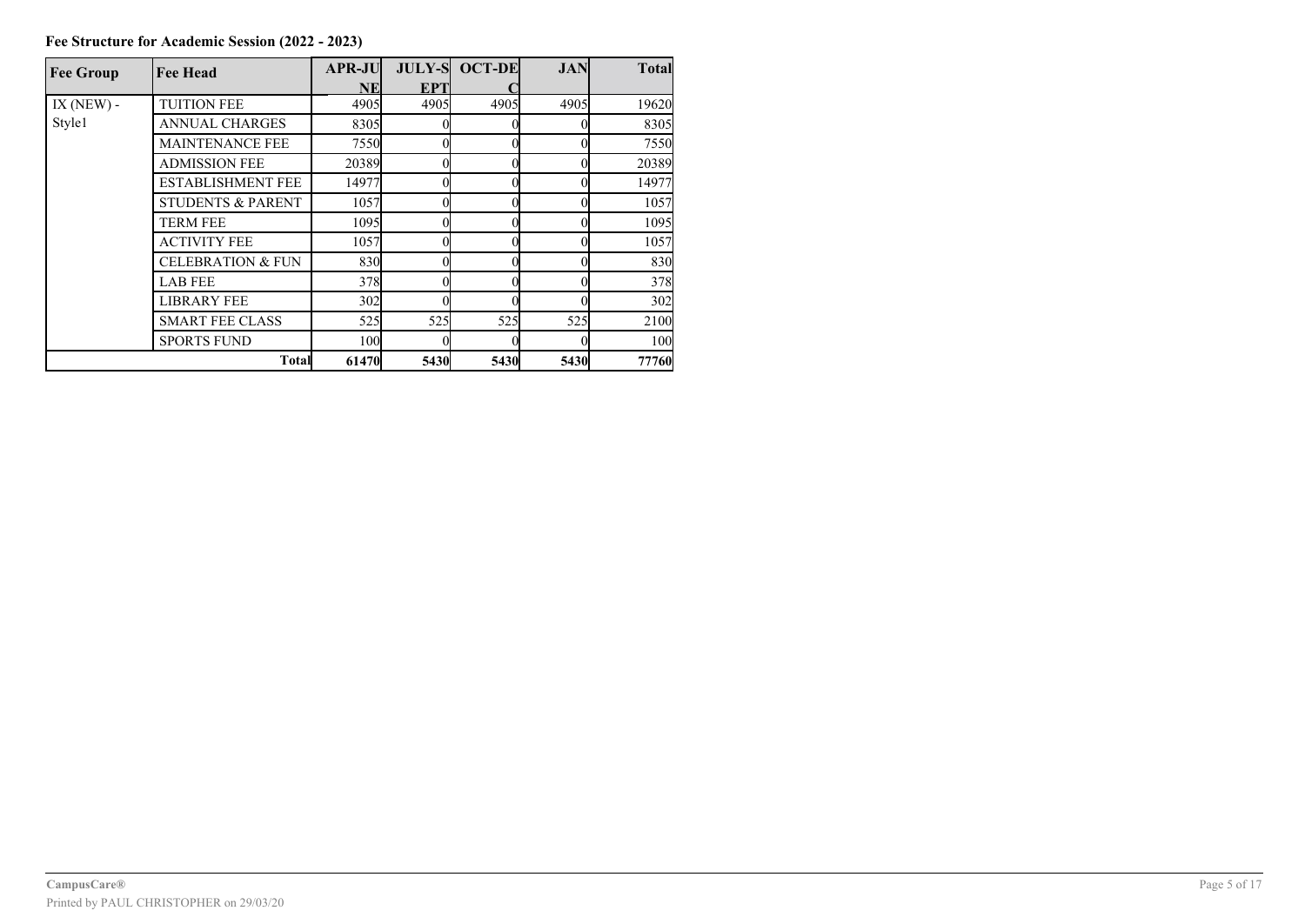| <b>Fee Group</b> | <b>Fee Head</b>              | <b>APR-JU</b> |      | <b>JULY-S OCT-DE</b> | <b>JAN</b> | <b>Total</b> |
|------------------|------------------------------|---------------|------|----------------------|------------|--------------|
|                  |                              | NE            | EPT  |                      |            |              |
| IX ( $NEW$ ) -   | <b>TUITION FEE</b>           | 4905          | 4905 | 4905                 | 4905       | 19620        |
| Style1           | <b>ANNUAL CHARGES</b>        | 8305          |      |                      |            | 8305         |
|                  | <b>MAINTENANCE FEE</b>       | 7550          |      |                      |            | 7550         |
|                  | <b>ADMISSION FEE</b>         | 20389         |      |                      |            | 20389        |
|                  | <b>ESTABLISHMENT FEE</b>     | 14977         |      |                      |            | 14977        |
|                  | <b>STUDENTS &amp; PARENT</b> | 1057          |      |                      |            | 1057         |
|                  | TERM FEE                     | 1095          |      |                      |            | 1095         |
|                  | <b>ACTIVITY FEE</b>          | 1057          |      |                      |            | 1057         |
|                  | <b>CELEBRATION &amp; FUN</b> | 830           |      |                      |            | 830          |
|                  | <b>LAB FEE</b>               | 378           |      |                      |            | 378          |
|                  | <b>LIBRARY FEE</b>           | 302           |      |                      |            | 302          |
|                  | <b>SMART FEE CLASS</b>       | 525           | 525  | 525                  | 525        | 2100         |
|                  | <b>SPORTS FUND</b>           | 100           |      |                      |            | 100          |
|                  | <b>Total</b>                 | 61470         | 5430 | 5430                 | 5430       | 77760        |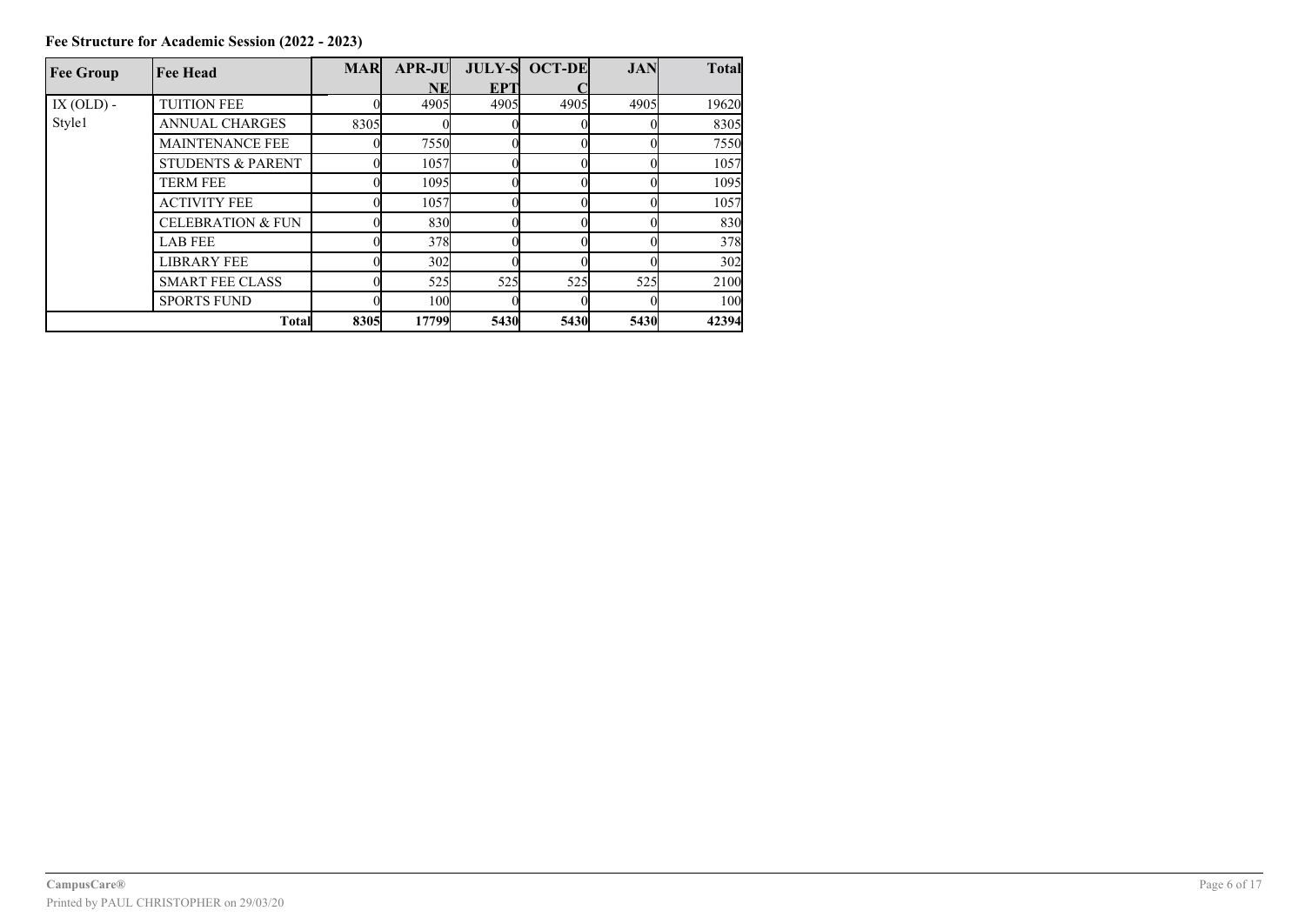| <b>Fee Group</b> | <b>Fee Head</b>              | <b>MAR</b> | <b>APR-JU</b> |             | <b>JULY-S OCT-DE</b> | <b>JAN</b>  | <b>Total</b> |
|------------------|------------------------------|------------|---------------|-------------|----------------------|-------------|--------------|
|                  |                              |            | NEl           | <b>EPT</b>  |                      |             |              |
| $IX (OLD) -$     | <b>TUITION FEE</b>           |            | 4905          | 4905        | 4905                 | 4905        | 19620        |
| Style1           | <b>ANNUAL CHARGES</b>        | 8305       |               |             |                      |             | 8305         |
|                  | <b>MAINTENANCE FEE</b>       |            | 7550          |             |                      |             | 7550         |
|                  | <b>STUDENTS &amp; PARENT</b> |            | 1057          |             |                      |             | 1057         |
|                  | <b>TERM FEE</b>              |            | 1095          |             |                      |             | 1095         |
|                  | <b>ACTIVITY FEE</b>          |            | 1057          |             |                      |             | 1057         |
|                  | <b>CELEBRATION &amp; FUN</b> |            | 830           |             |                      |             | 830          |
|                  | <b>LAB FEE</b>               |            | 378           |             |                      |             | 378          |
|                  | <b>LIBRARY FEE</b>           |            | 302           |             |                      |             | 302          |
|                  | <b>SMART FEE CLASS</b>       |            | 525           | 525         | 525                  | 525         | 2100         |
|                  | <b>SPORTS FUND</b>           |            | 100           |             |                      |             | 100          |
|                  | <b>Total</b>                 | 8305       | 17799         | <b>5430</b> | 5430                 | <b>5430</b> | 42394        |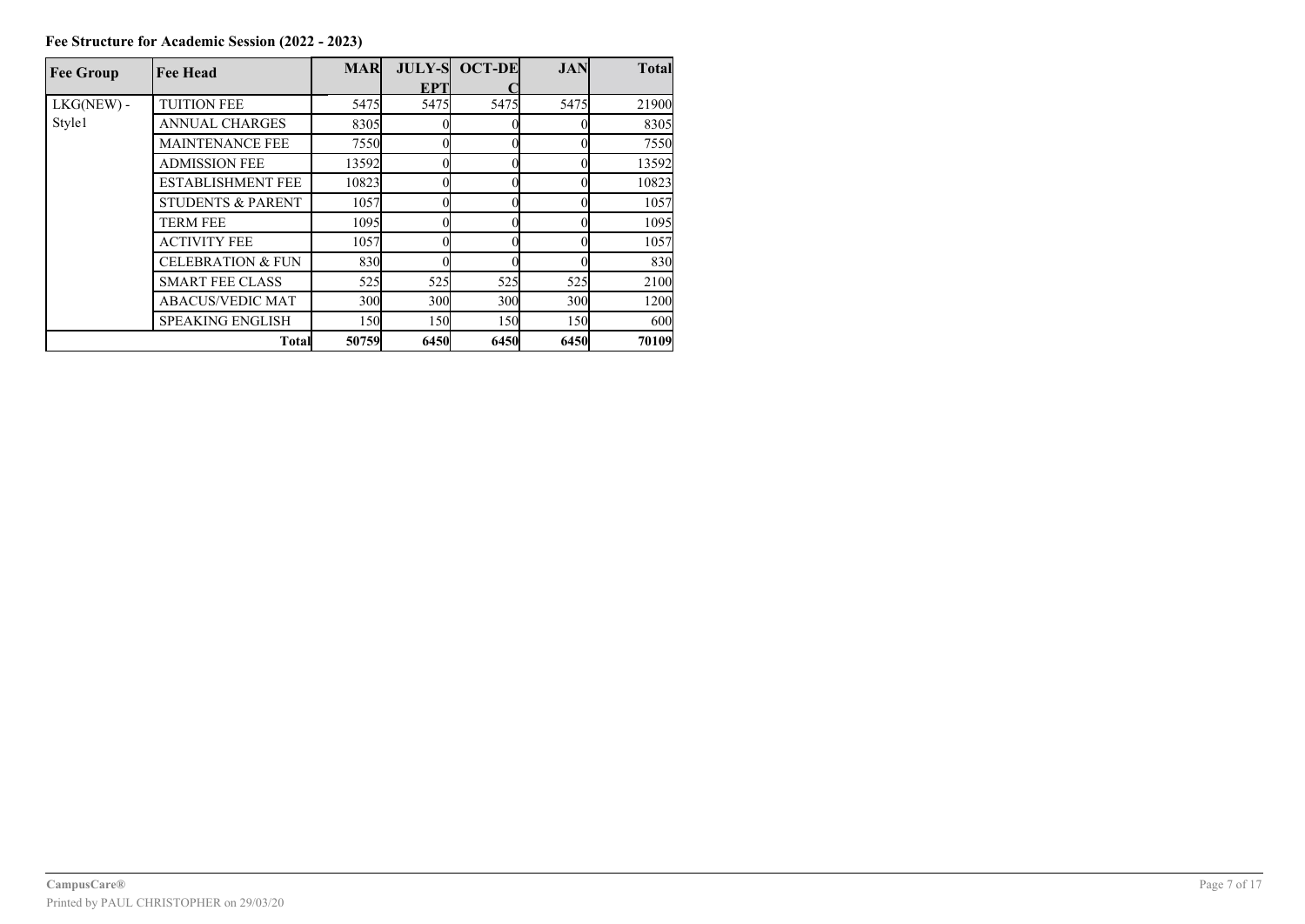| <b>Fee Group</b> | <b>Fee Head</b>              | <b>MAR</b> |      | <b>JULY-S OCT-DE</b> | <b>JAN</b> | <b>Total</b> |
|------------------|------------------------------|------------|------|----------------------|------------|--------------|
|                  |                              |            | EPT  |                      |            |              |
| $LKG(NEW)$ -     | <b>TUITION FEE</b>           | 5475       | 5475 | 5475                 | 5475       | 21900        |
| Style1           | <b>ANNUAL CHARGES</b>        | 8305       |      |                      |            | 8305         |
|                  | <b>MAINTENANCE FEE</b>       | 7550       |      |                      |            | 7550         |
|                  | <b>ADMISSION FEE</b>         | 13592      |      |                      |            | 13592        |
|                  | <b>ESTABLISHMENT FEE</b>     | 10823      |      |                      |            | 10823        |
|                  | <b>STUDENTS &amp; PARENT</b> | 1057       |      |                      |            | 1057         |
|                  | <b>TERM FEE</b>              | 1095       |      |                      |            | 1095         |
|                  | <b>ACTIVITY FEE</b>          | 1057       |      |                      |            | 1057         |
|                  | <b>CELEBRATION &amp; FUN</b> | 830        |      |                      |            | 830          |
|                  | <b>SMART FEE CLASS</b>       | 525        | 525  | 525                  | 525        | 2100         |
|                  | <b>ABACUS/VEDIC MAT</b>      | 300        | 300  | 30 <sub>0</sub>      | 300        | 1200         |
|                  | <b>SPEAKING ENGLISH</b>      | 150        | 150  | 150                  | 150        | 600          |
|                  | <b>Total</b>                 | 50759      | 6450 | 6450                 | 6450       | 70109        |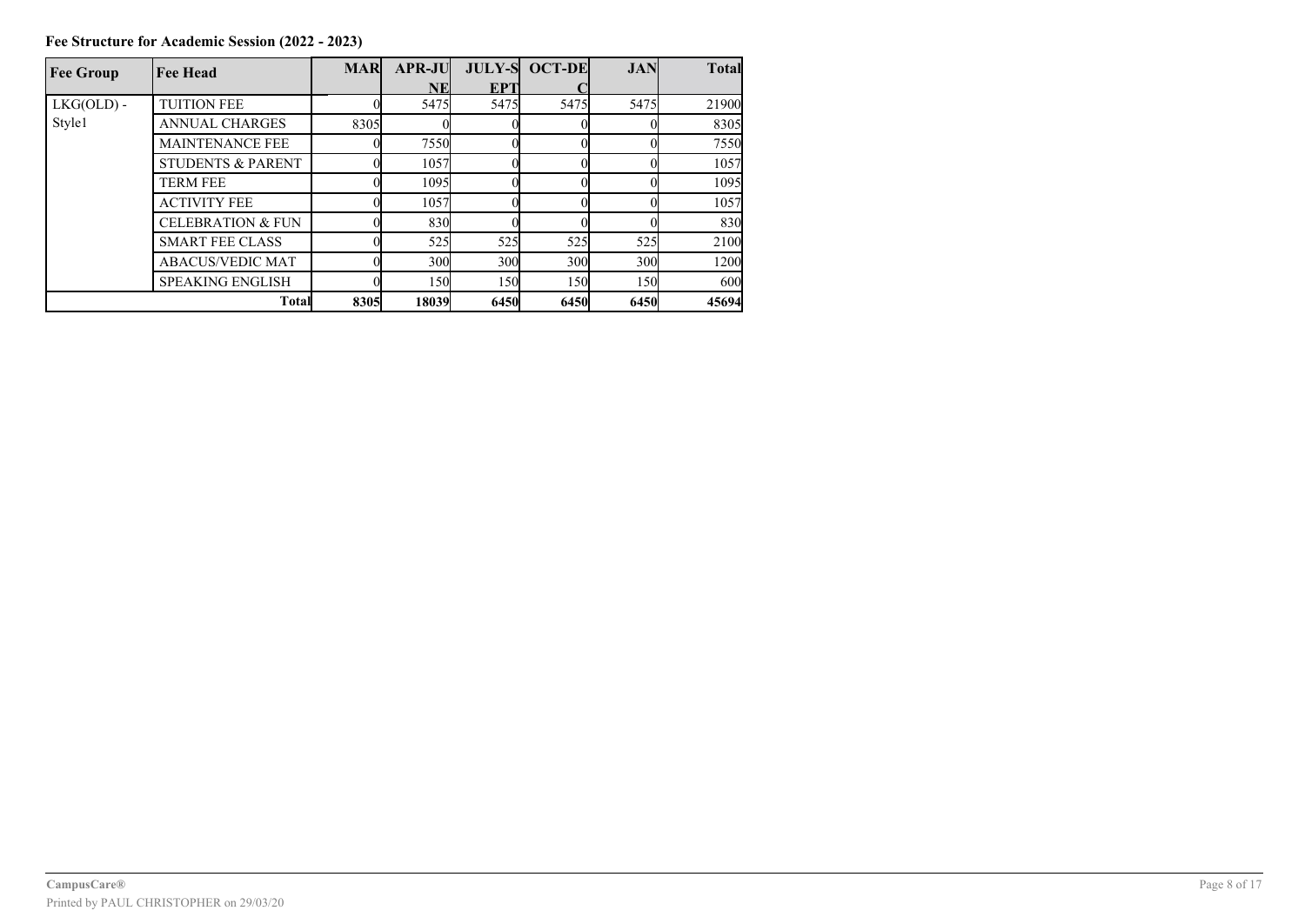| <b>Fee Group</b> | <b>Fee Head</b>              | <b>MAR</b> | <b>APR-JU</b> |                 | <b>JULY-S OCT-DE</b> | <b>JAN</b>  | <b>Total</b> |
|------------------|------------------------------|------------|---------------|-----------------|----------------------|-------------|--------------|
|                  |                              |            | NEI           | EPT             |                      |             |              |
| $LKG(OLD)$ -     | <b>TUITION FEE</b>           |            | 5475          | 5475            | 5475                 | 5475        | 21900        |
| Style1           | <b>ANNUAL CHARGES</b>        | 8305       |               |                 |                      |             | 8305         |
|                  | <b>MAINTENANCE FEE</b>       |            | 7550          |                 |                      |             | 7550         |
|                  | <b>STUDENTS &amp; PARENT</b> |            | 1057          |                 |                      |             | 1057         |
|                  | <b>TERM FEE</b>              |            | 1095          |                 |                      |             | 1095         |
|                  | <b>ACTIVITY FEE</b>          |            | 1057          |                 |                      |             | 1057         |
|                  | <b>CELEBRATION &amp; FUN</b> |            | 830           |                 |                      |             | 830          |
|                  | <b>SMART FEE CLASS</b>       |            | 525           | 525             | 525                  | 525         | 2100         |
|                  | <b>ABACUS/VEDIC MAT</b>      |            | 300           | 30 <sub>0</sub> | 300                  | 300         | 1200         |
|                  | <b>SPEAKING ENGLISH</b>      |            | 150           | 150l            | 150                  | 150         | 600          |
|                  | <b>Total</b>                 | 8305       | 18039         | 6450            | 6450                 | <b>6450</b> | 45694        |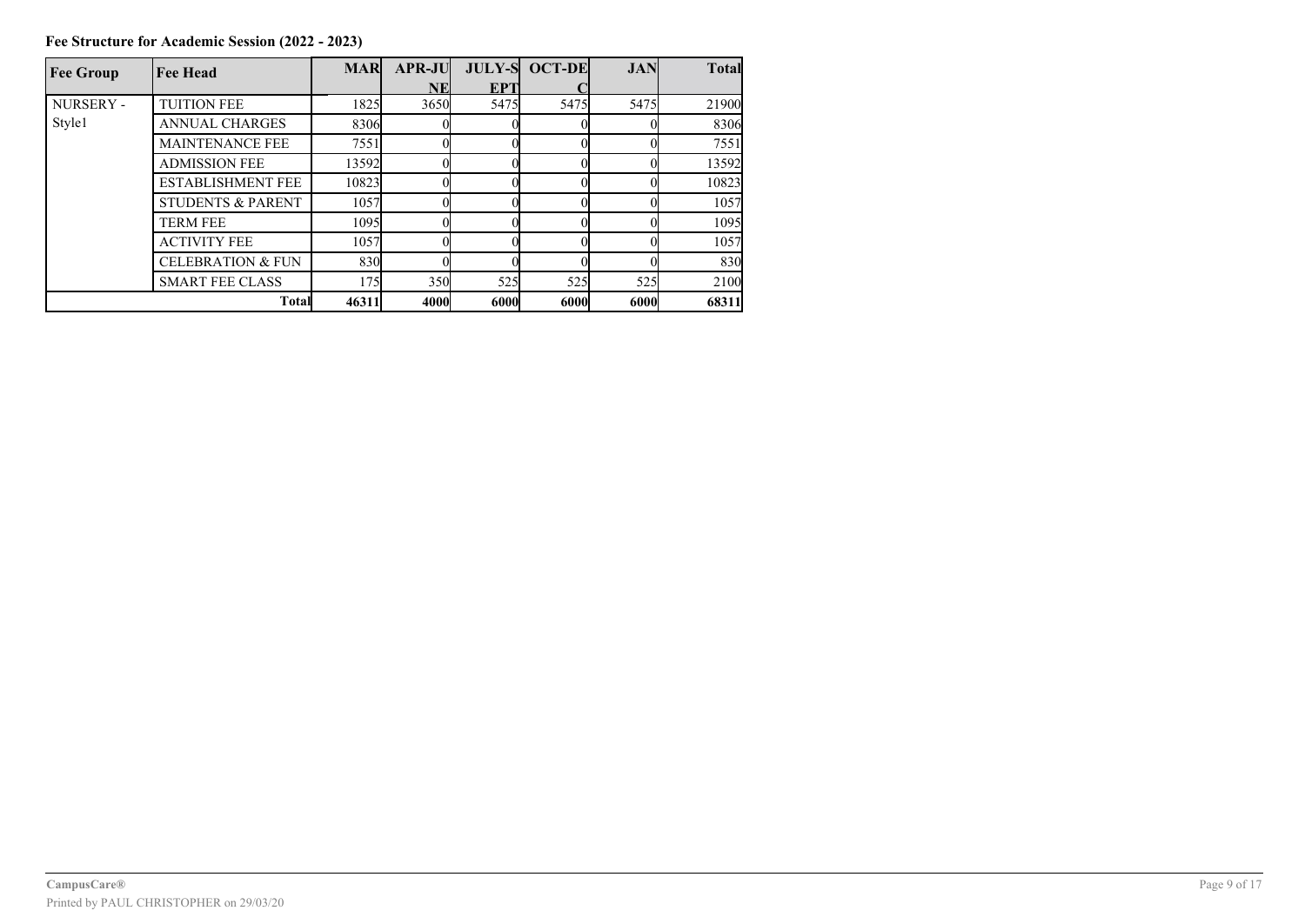**Fee Structure for Academic Session (2022 - 2023)**

| <b>Fee Group</b> | <b>Fee Head</b>              | <b>MAR</b> | <b>APR-JU</b> |            | <b>JULY-S OCT-DE</b> | <b>JAN</b> | <b>Total</b> |
|------------------|------------------------------|------------|---------------|------------|----------------------|------------|--------------|
|                  |                              |            | <b>NE</b>     | <b>EPT</b> |                      |            |              |
| <b>NURSERY -</b> | <b>TUITION FEE</b>           | 1825       | 3650          | 5475       | 5475                 | 5475       | 21900        |
| Style1           | <b>ANNUAL CHARGES</b>        | 8306       |               |            |                      |            | 8306         |
|                  | <b>MAINTENANCE FEE</b>       | 7551       |               |            |                      |            | 7551         |
|                  | <b>ADMISSION FEE</b>         | 13592      |               |            |                      |            | 13592        |
|                  | <b>ESTABLISHMENT FEE</b>     | 10823      |               |            |                      |            | 10823        |
|                  | <b>STUDENTS &amp; PARENT</b> | 1057       |               |            |                      |            | 1057         |
|                  | <b>TERM FEE</b>              | 1095       |               |            |                      |            | 1095         |
|                  | <b>ACTIVITY FEE</b>          | 1057       |               |            |                      |            | 1057         |
|                  | <b>CELEBRATION &amp; FUN</b> | 830        |               |            |                      |            | 830          |
|                  | <b>SMART FEE CLASS</b>       | 175        | 350           | 525        | 525                  | 525        | 2100         |
|                  | <b>Total</b>                 | 46311      | <b>4000</b>   | 6000       | 6000                 | 6000       | 68311        |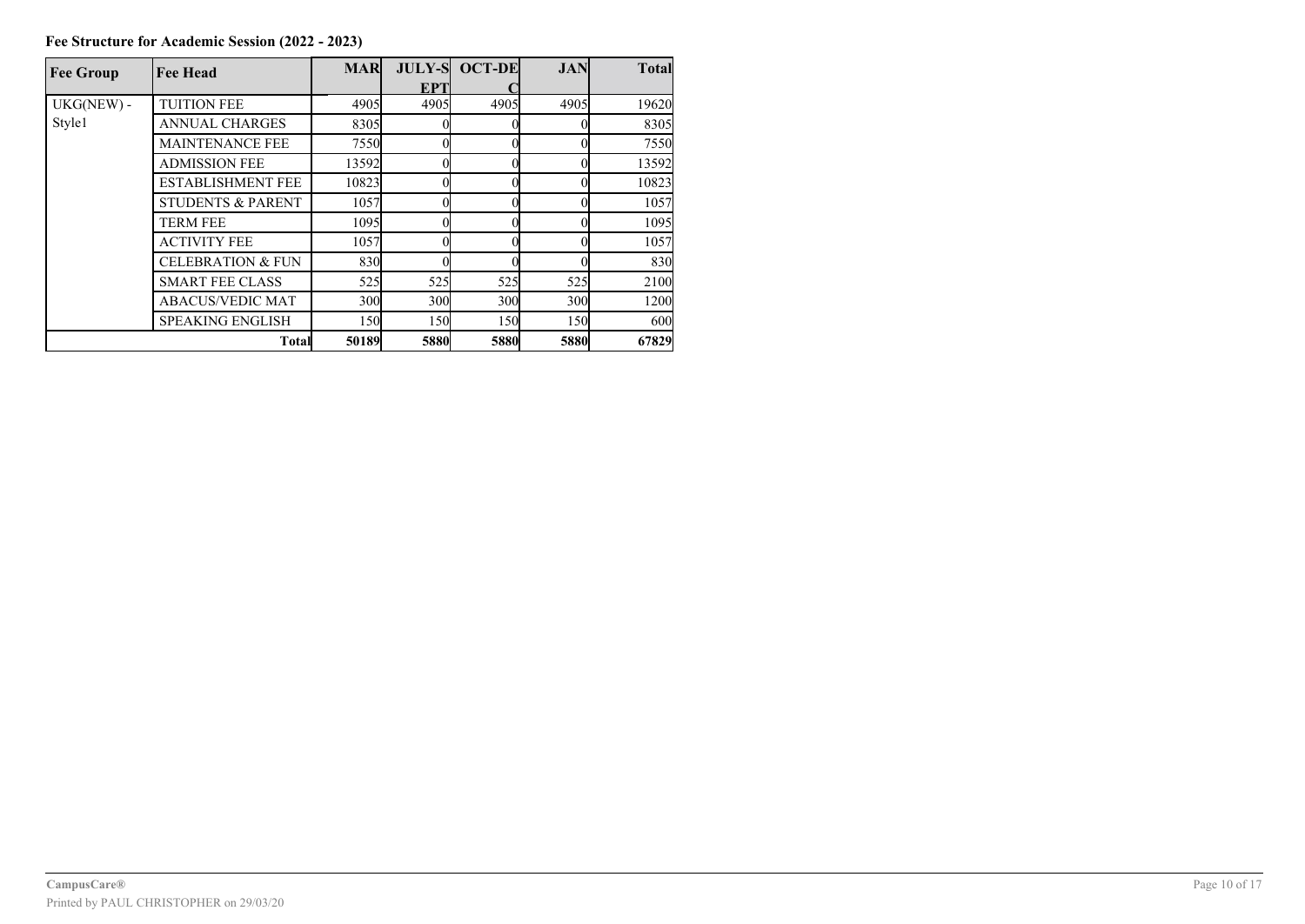| <b>Fee Group</b> | <b>Fee Head</b>              | <b>MAR</b> |      | <b>JULY-S OCT-DE</b> | <b>JAN</b> | <b>Total</b> |
|------------------|------------------------------|------------|------|----------------------|------------|--------------|
|                  |                              |            | EPT  |                      |            |              |
| UKG(NEW) -       | <b>TUITION FEE</b>           | 4905       | 4905 | 4905                 | 4905       | 19620        |
| Style1           | <b>ANNUAL CHARGES</b>        | 8305       |      |                      |            | 8305         |
|                  | <b>MAINTENANCE FEE</b>       | 7550       |      |                      |            | 7550         |
|                  | <b>ADMISSION FEE</b>         | 13592      |      |                      |            | 13592        |
|                  | <b>ESTABLISHMENT FEE</b>     | 10823      |      |                      |            | 10823        |
|                  | <b>STUDENTS &amp; PARENT</b> | 1057       |      |                      |            | 1057         |
|                  | <b>TERM FEE</b>              | 1095       |      |                      |            | 1095         |
|                  | <b>ACTIVITY FEE</b>          | 1057       |      |                      |            | 1057         |
|                  | <b>CELEBRATION &amp; FUN</b> | 830        |      |                      |            | 830          |
|                  | <b>SMART FEE CLASS</b>       | 525        | 525  | 525                  | 525        | 2100         |
|                  | <b>ABACUS/VEDIC MAT</b>      | 300        | 300  | 30 <sub>0</sub>      | 300        | 1200         |
|                  | <b>SPEAKING ENGLISH</b>      | 150        | 150  | 150                  | 150        | 600          |
|                  | <b>Total</b>                 | 50189      | 5880 | 5880                 | 5880       | 67829        |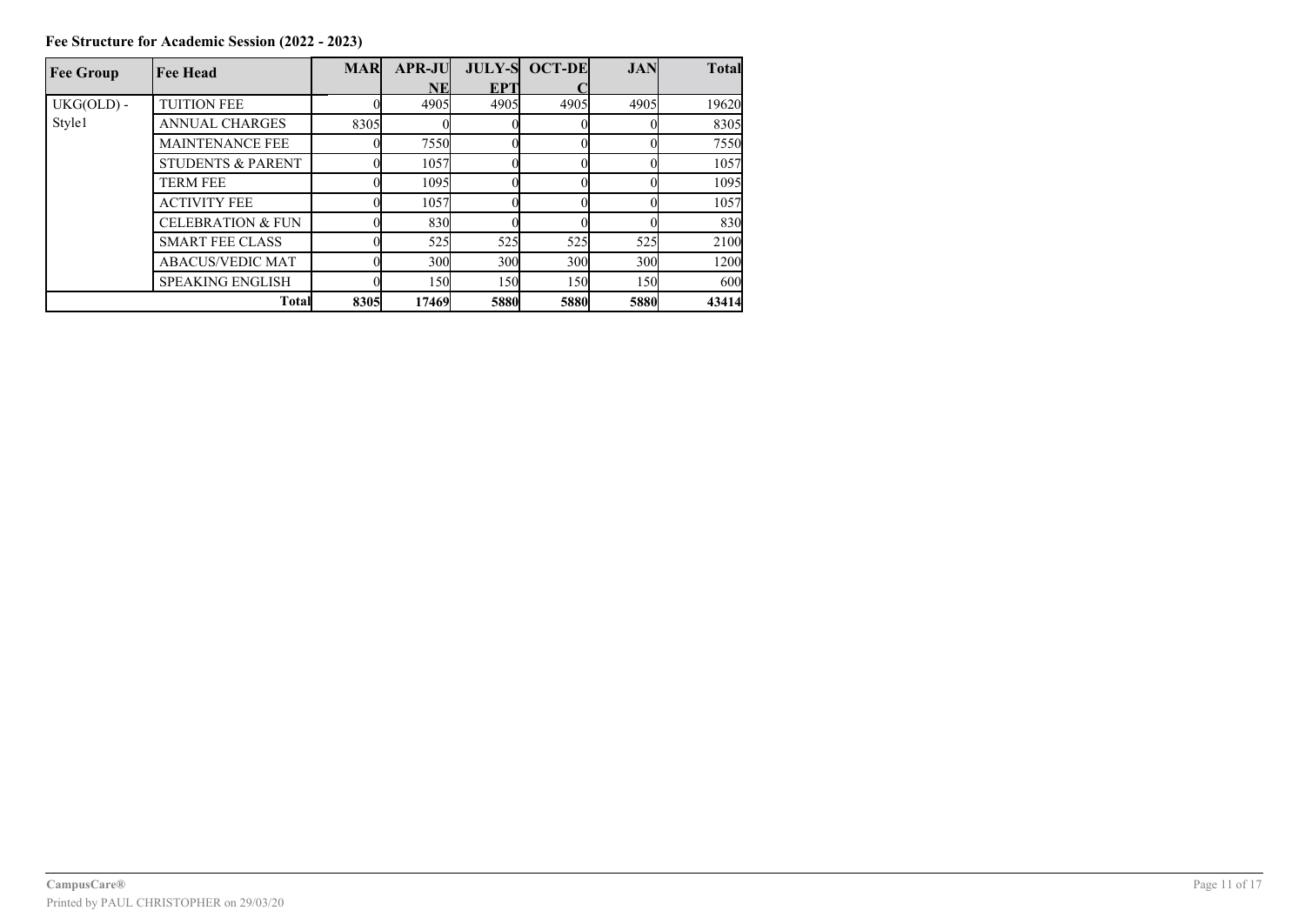| <b>Fee Group</b> | <b>Fee Head</b>              | <b>MAR</b> | <b>APR-JU</b> |      | <b>JULY-S OCT-DE</b> | <b>JAN</b> | <b>Total</b> |
|------------------|------------------------------|------------|---------------|------|----------------------|------------|--------------|
|                  |                              |            | NEI           | EPT  |                      |            |              |
| $UKG(OLD) -$     | <b>TUITION FEE</b>           |            | 4905          | 4905 | 4905I                | 4905       | 19620        |
| Style1           | <b>ANNUAL CHARGES</b>        | 8305       |               |      |                      |            | 8305         |
|                  | <b>MAINTENANCE FEE</b>       |            | 7550          |      |                      |            | 7550         |
|                  | <b>STUDENTS &amp; PARENT</b> |            | 1057          |      |                      |            | 1057         |
|                  | <b>TERM FEE</b>              |            | 1095          |      |                      |            | 1095         |
|                  | <b>ACTIVITY FEE</b>          |            | 1057          |      |                      |            | 1057         |
|                  | <b>CELEBRATION &amp; FUN</b> |            | 830           |      |                      |            | 830          |
|                  | <b>SMART FEE CLASS</b>       |            | 525           | 525  | 525                  | 525        | 2100         |
|                  | <b>ABACUS/VEDIC MAT</b>      |            | 300           | 300  | 30 <sub>0</sub>      | 300        | 1200         |
|                  | <b>SPEAKING ENGLISH</b>      |            | 150           | 150  | 150                  | 150        | 600          |
|                  | <b>Total</b>                 | 8305       | 17469         | 5880 | <b>5880</b>          | 5880       | 43414        |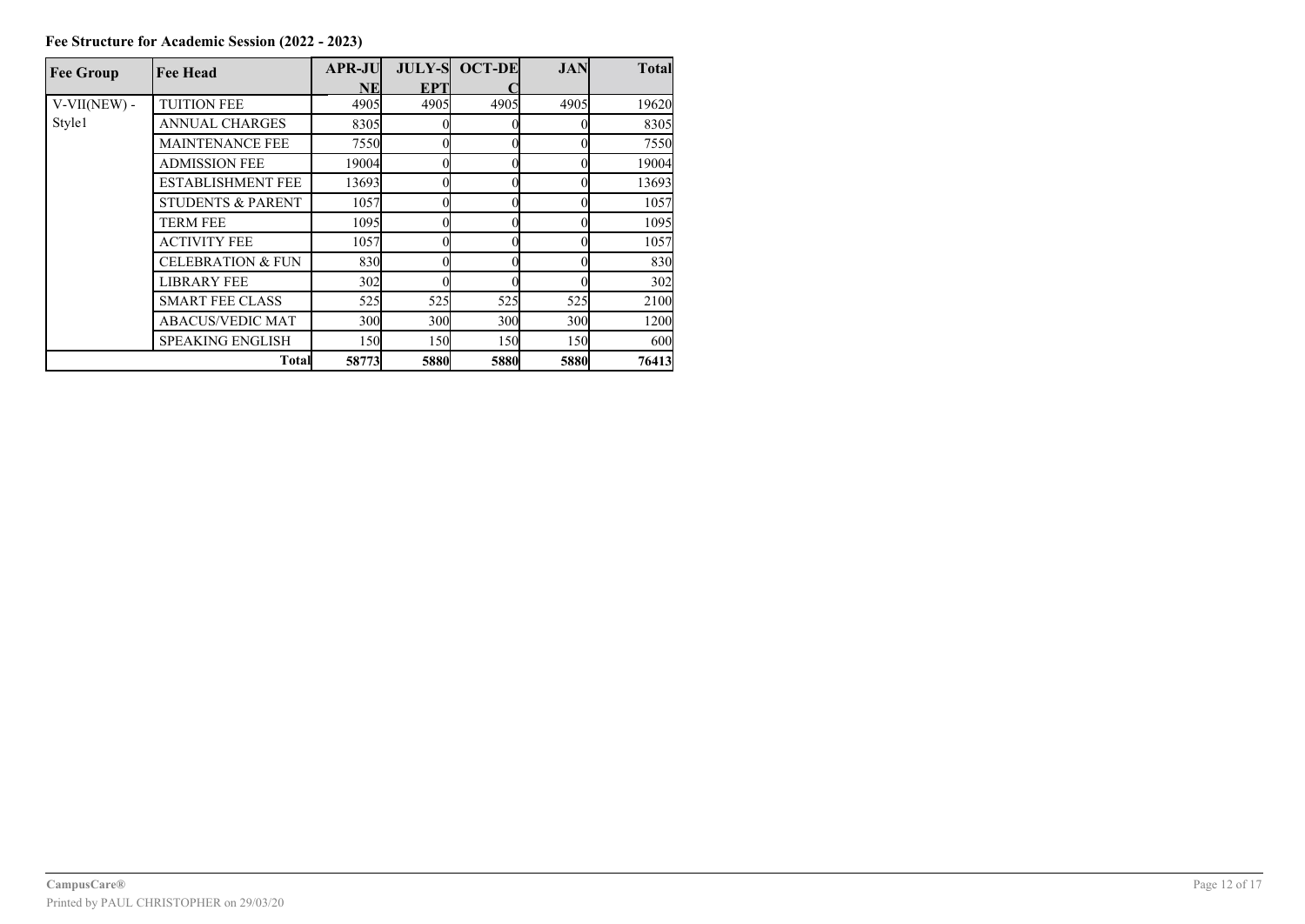| <b>Fee Group</b> | <b>Fee Head</b>              | <b>APR-JU</b>   |             | <b>JULY-S OCT-DE</b> | <b>JAN</b>      | <b>Total</b> |
|------------------|------------------------------|-----------------|-------------|----------------------|-----------------|--------------|
|                  |                              | NE              | EPT         |                      |                 |              |
| $V-VII(NEW)$ -   | <b>TUITION FEE</b>           | 4905            | 4905        | 4905                 | 4905            | 19620        |
| Style1           | <b>ANNUAL CHARGES</b>        | 8305            |             |                      |                 | 8305         |
|                  | <b>MAINTENANCE FEE</b>       | 7550            |             |                      |                 | 7550         |
|                  | <b>ADMISSION FEE</b>         | 19004           |             |                      |                 | 19004        |
|                  | <b>ESTABLISHMENT FEE</b>     | 13693           |             |                      |                 | 13693        |
|                  | <b>STUDENTS &amp; PARENT</b> | 1057            |             |                      |                 | 1057         |
|                  | <b>TERM FEE</b>              | 1095            |             |                      |                 | 1095         |
|                  | <b>ACTIVITY FEE</b>          | 1057            |             |                      |                 | 1057         |
|                  | <b>CELEBRATION &amp; FUN</b> | 830             |             |                      |                 | 830          |
|                  | <b>LIBRARY FEE</b>           | 302             |             |                      |                 | 302          |
|                  | <b>SMART FEE CLASS</b>       | 525             | 525         | 525                  | 525             | 2100         |
|                  | <b>ABACUS/VEDIC MAT</b>      | 30 <sub>0</sub> | 300         | 300                  | 30 <sub>0</sub> | 1200         |
|                  | <b>SPEAKING ENGLISH</b>      | 150             | <b>150</b>  | <b>150</b>           | 150             | 600          |
|                  | <b>Total</b>                 | 58773           | <b>5880</b> | 5880                 | 5880            | 76413        |

**Fee Structure for Academic Session (2022 - 2023)**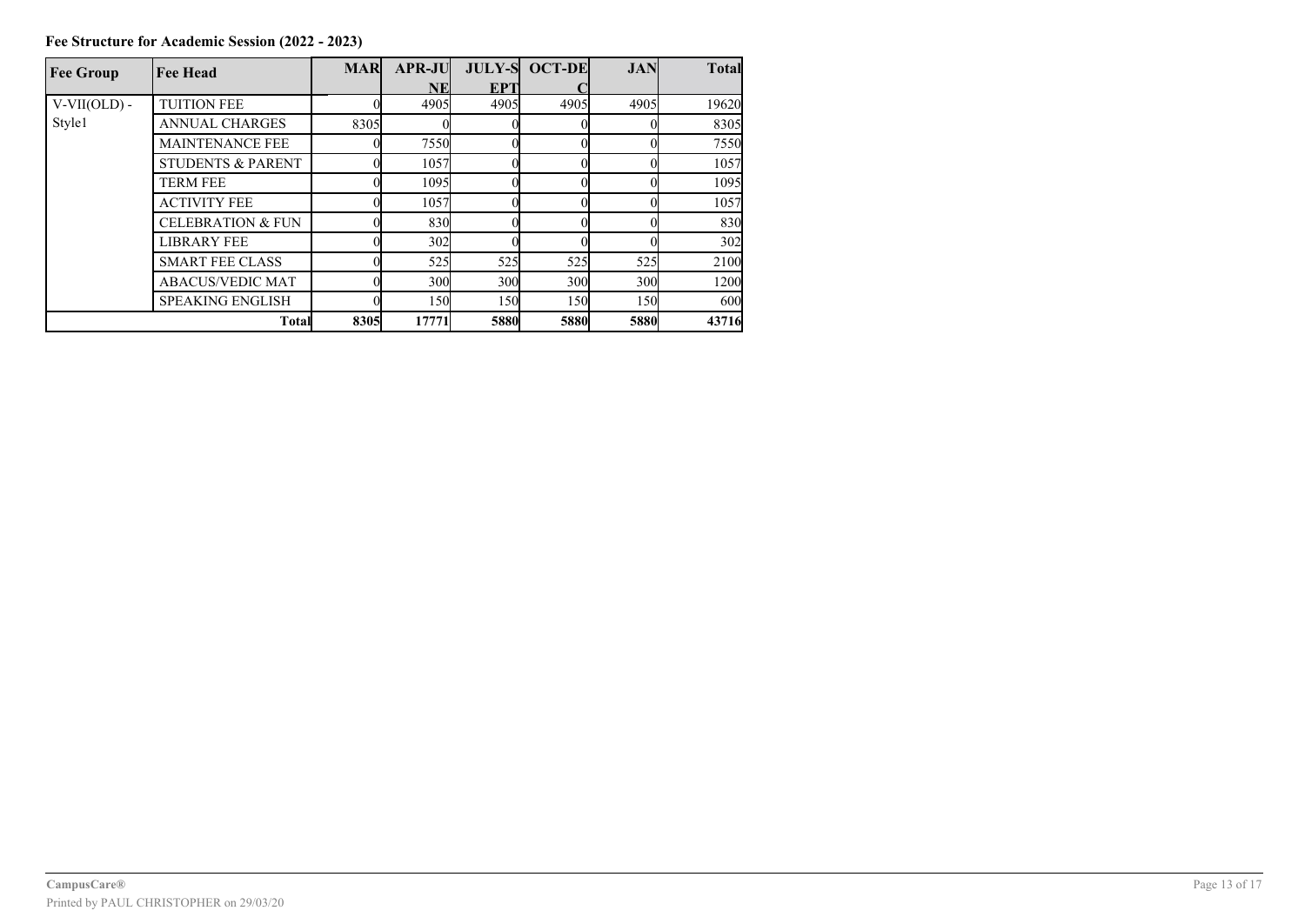| <b>Fee Group</b> | <b>Fee Head</b>              | <b>MAR</b> | <b>APR-JU</b>   |                 | <b>JULY-S OCT-DE</b> | <b>JAN</b> | <b>Total</b> |
|------------------|------------------------------|------------|-----------------|-----------------|----------------------|------------|--------------|
|                  |                              |            | NE              | EPT             |                      |            |              |
| $V-VII(OLD)$ -   | <b>TUITION FEE</b>           |            | 4905            | 4905            | 4905                 | 4905       | 19620        |
| Style1           | <b>ANNUAL CHARGES</b>        | 8305       |                 |                 |                      |            | 8305         |
|                  | <b>MAINTENANCE FEE</b>       |            | 7550            |                 |                      |            | 7550         |
|                  | <b>STUDENTS &amp; PARENT</b> |            | 1057            |                 |                      |            | 1057         |
|                  | TERM FEE                     |            | 1095            |                 |                      |            | 1095         |
|                  | <b>ACTIVITY FEE</b>          |            | 1057            |                 |                      |            | 1057         |
|                  | <b>CELEBRATION &amp; FUN</b> |            | 830             |                 |                      |            | 830          |
|                  | <b>LIBRARY FEE</b>           |            | 302             |                 |                      |            | 302          |
|                  | <b>SMART FEE CLASS</b>       |            | 525             | 525             | 525                  | 525        | 2100         |
|                  | <b>ABACUS/VEDIC MAT</b>      |            | 30 <sub>0</sub> | 30 <sub>0</sub> | 30 <sub>0</sub>      | 300        | 1200         |
|                  | <b>SPEAKING ENGLISH</b>      |            | 150l            | 150l            | 150l                 | 150        | 600          |
| <b>Total</b>     |                              | 8305       | 17771           | 5880            | 5880                 | 5880       | 43716        |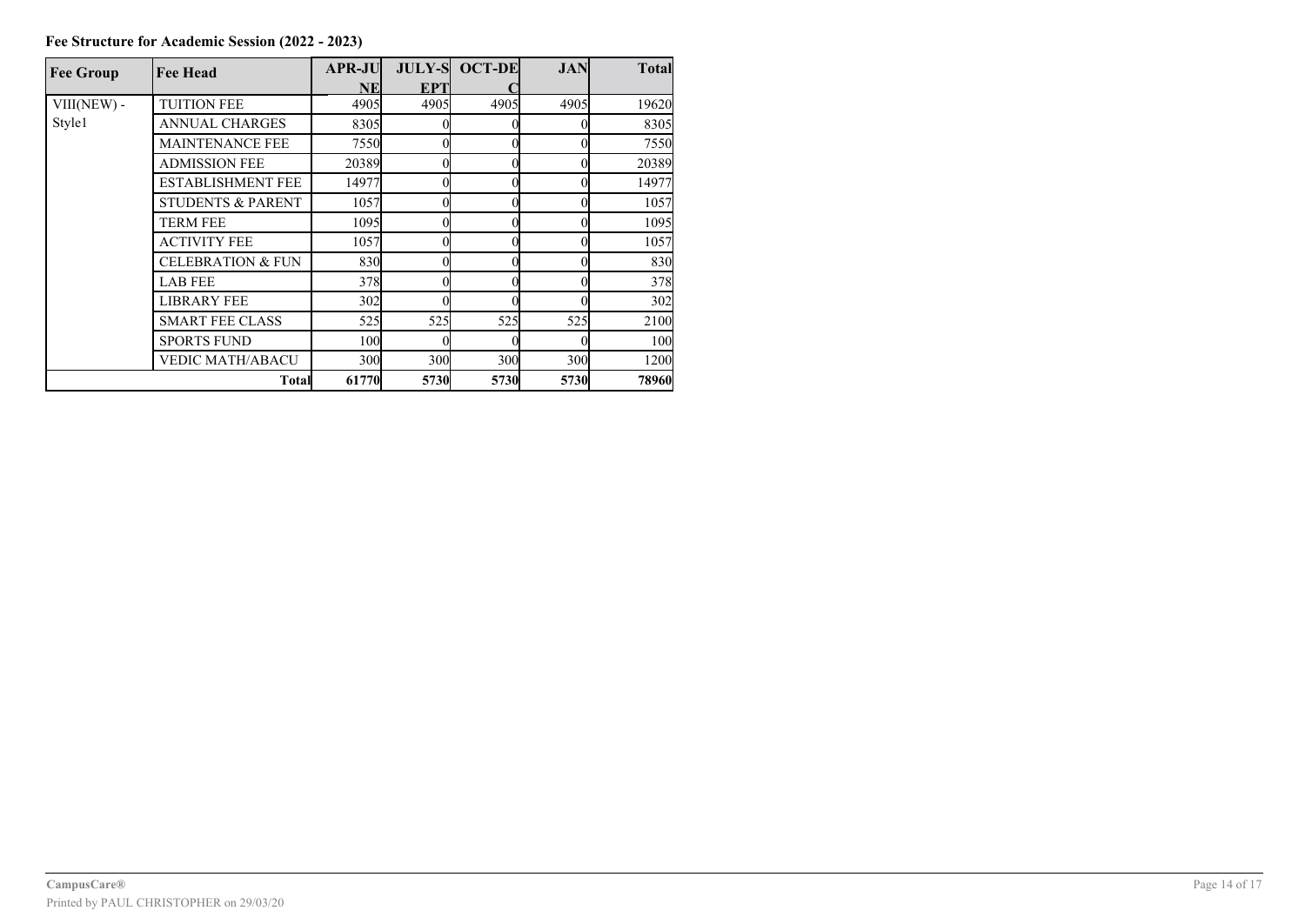| <b>Fee Group</b> | <b>Fee Head</b>              | APR-JU          |                 | <b>JULY-S OCT-DE</b> | JAN  | <b>Total</b> |
|------------------|------------------------------|-----------------|-----------------|----------------------|------|--------------|
|                  |                              | NE              | <b>EPT</b>      |                      |      |              |
| VIII(NEW) -      | <b>TUITION FEE</b>           | 4905            | 4905            | 4905                 | 4905 | 19620        |
| Style1           | <b>ANNUAL CHARGES</b>        | 8305            |                 |                      |      | 8305         |
|                  | <b>MAINTENANCE FEE</b>       | 7550            |                 |                      |      | 7550         |
|                  | <b>ADMISSION FEE</b>         | 20389           |                 |                      |      | 20389        |
|                  | <b>ESTABLISHMENT FEE</b>     | 14977           |                 |                      |      | 14977        |
|                  | <b>STUDENTS &amp; PARENT</b> | 1057            |                 |                      |      | 1057         |
|                  | <b>TERM FEE</b>              | 1095            |                 |                      |      | 1095         |
|                  | <b>ACTIVITY FEE</b>          | 1057            |                 |                      |      | 1057         |
|                  | <b>CELEBRATION &amp; FUN</b> | 830             |                 |                      |      | 830          |
|                  | <b>LAB FEE</b>               | 378             |                 |                      |      | 378          |
|                  | <b>LIBRARY FEE</b>           | 302l            |                 |                      |      | 302          |
|                  | <b>SMART FEE CLASS</b>       | 525             | 525             | 525                  | 525  | 2100         |
|                  | <b>SPORTS FUND</b>           | 10 <sub>0</sub> |                 |                      |      | 100          |
|                  | VEDIC MATH/ABACU             | 300             | 30 <sub>0</sub> | 30 <sub>0</sub>      | 300  | 1200         |
|                  | <b>Total</b>                 | 61770           | 5730            | 5730                 | 5730 | 78960        |

**Fee Structure for Academic Session (2022 - 2023)**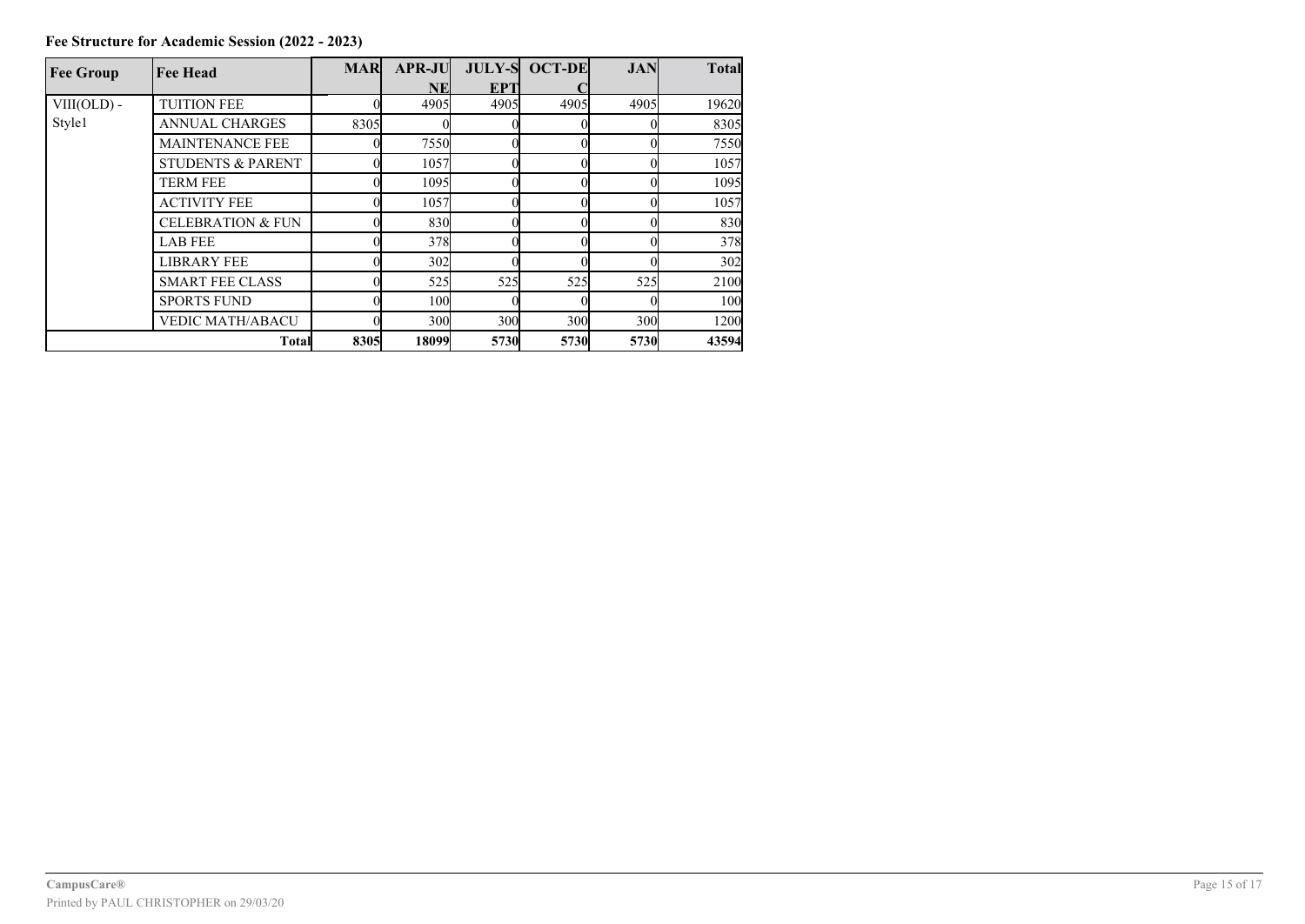| <b>Fee Group</b> | <b>Fee Head</b>              | <b>MAR</b> | <b>APR-JU</b>   |            | <b>JULY-S OCT-DE</b> | <b>JAN</b> | <b>Total</b> |
|------------------|------------------------------|------------|-----------------|------------|----------------------|------------|--------------|
|                  |                              |            | NEI             | <b>EPT</b> |                      |            |              |
| VIII(OLD) -      | <b>TUITION FEE</b>           |            | 4905            | 4905       | 4905                 | 4905       | 19620        |
| Style1           | <b>ANNUAL CHARGES</b>        | 8305       |                 |            |                      |            | 8305         |
|                  | <b>MAINTENANCE FEE</b>       |            | 7550            |            |                      |            | 7550         |
|                  | <b>STUDENTS &amp; PARENT</b> |            | 1057            |            |                      |            | 1057         |
|                  | <b>TERM FEE</b>              |            | 1095            |            |                      |            | 1095         |
|                  | <b>ACTIVITY FEE</b>          |            | 1057            |            |                      |            | 1057         |
|                  | <b>CELEBRATION &amp; FUN</b> |            | 830             |            |                      |            | 830          |
|                  | <b>LAB FEE</b>               |            | 378             |            |                      |            | 378          |
|                  | <b>LIBRARY FEE</b>           |            | 302l            |            |                      |            | 302          |
|                  | <b>SMART FEE CLASS</b>       |            | 525             | 525        | 525                  | 525        | 2100         |
|                  | <b>SPORTS FUND</b>           |            | 10 <sub>0</sub> |            |                      |            | 100          |
|                  | <b>VEDIC MATH/ABACU</b>      |            | 300             | 300        | 300                  | 300        | 1200         |
| Total            |                              | 8305       | 18099           | 5730       | 5730                 | 5730       | 43594        |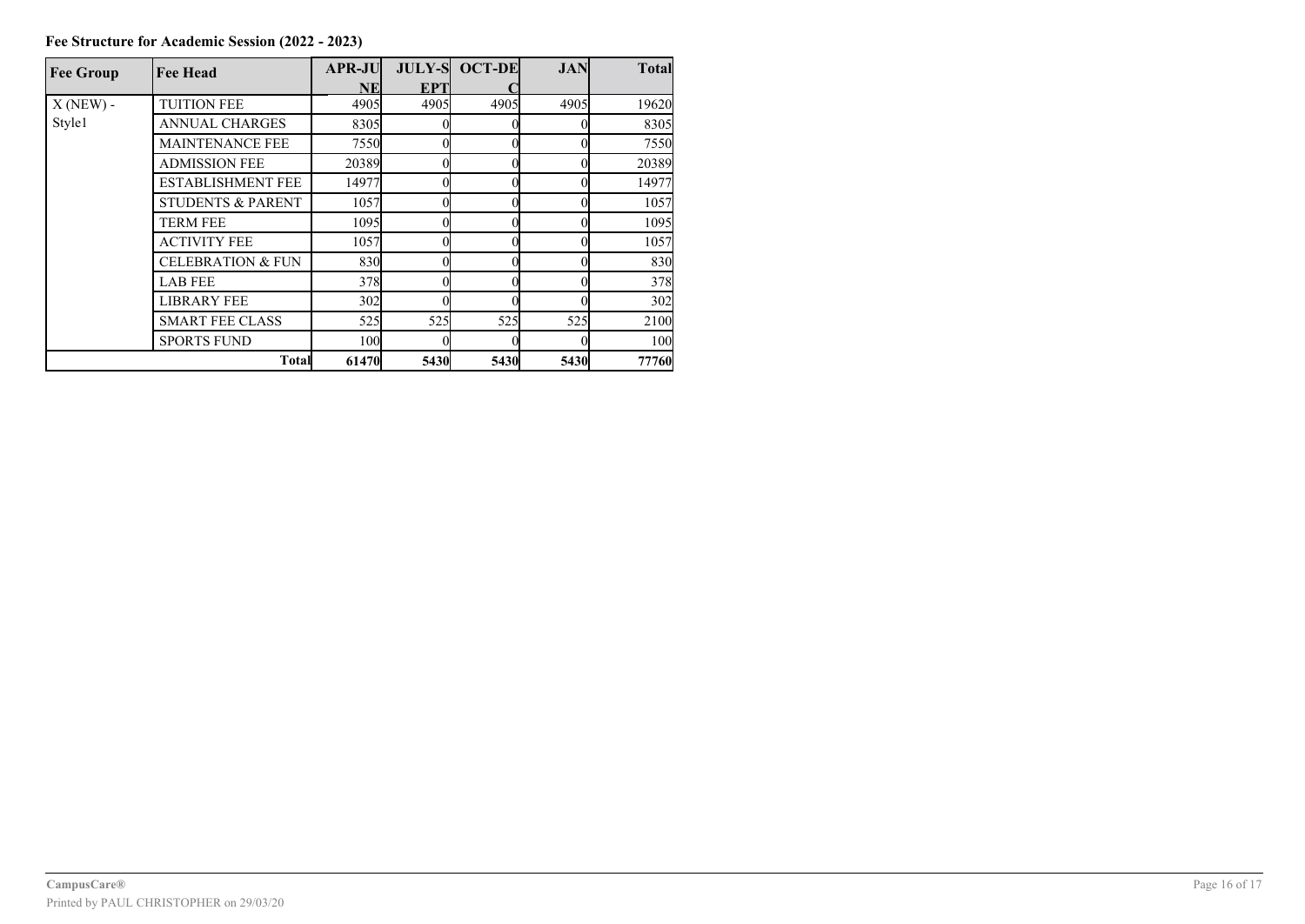| <b>Fee Group</b> | <b>Fee Head</b>              | <b>APR-JU</b>     |      | <b>JULY-S OCT-DE</b> | <b>JAN</b> | <b>Total</b> |  |
|------------------|------------------------------|-------------------|------|----------------------|------------|--------------|--|
|                  |                              | <b>NE</b>         | EP7  |                      |            |              |  |
| $X(NEW)$ -       | <b>TUITION FEE</b>           | 4905              | 4905 | 4905                 | 4905       | 19620        |  |
| Style1           | <b>ANNUAL CHARGES</b>        | 8305              |      |                      |            | 8305         |  |
|                  | <b>MAINTENANCE FEE</b>       | 7550              |      |                      |            | 7550         |  |
|                  | <b>ADMISSION FEE</b>         | 20389             |      |                      |            | 20389        |  |
|                  | <b>ESTABLISHMENT FEE</b>     | 14977             |      |                      |            | 14977        |  |
|                  | <b>STUDENTS &amp; PARENT</b> | 1057              |      |                      |            | 1057         |  |
|                  | TERM FEE                     | 1095 <sub>l</sub> |      |                      |            | 1095         |  |
|                  | <b>ACTIVITY FEE</b>          | 1057              |      |                      |            | 1057         |  |
|                  | <b>CELEBRATION &amp; FUN</b> | 830               |      |                      |            | 830          |  |
|                  | <b>LAB FEE</b>               | 378               |      |                      |            | 378          |  |
|                  | <b>LIBRARY FEE</b>           | 302               |      |                      |            | 302          |  |
|                  | <b>SMART FEE CLASS</b>       | 525               | 525  | 525                  | 525        | 2100         |  |
|                  | <b>SPORTS FUND</b>           | 100               |      |                      |            | 100          |  |

**Total 61470 5430 5430 5430 77760**